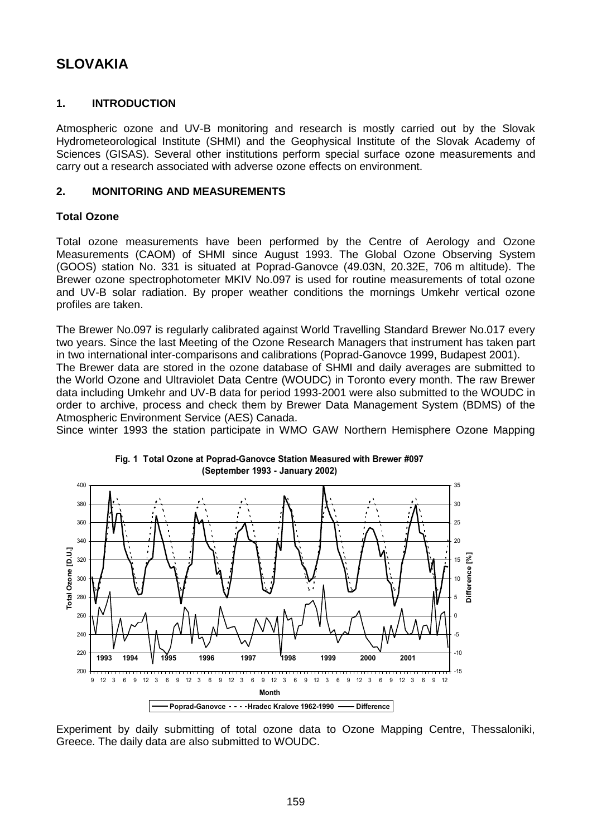# **SLOVAKIA**

# **1. INTRODUCTION**

Atmospheric ozone and UV-B monitoring and research is mostly carried out by the Slovak Hydrometeorological Institute (SHMI) and the Geophysical Institute of the Slovak Academy of Sciences (GISAS). Several other institutions perform special surface ozone measurements and carry out a research associated with adverse ozone effects on environment.

# **2. MONITORING AND MEASUREMENTS**

# **Total Ozone**

Total ozone measurements have been performed by the Centre of Aerology and Ozone Measurements (CAOM) of SHMI since August 1993. The Global Ozone Observing System (GOOS) station No. 331 is situated at Poprad-Ganovce (49.03N, 20.32E, 706 m altitude). The Brewer ozone spectrophotometer MKIV No.097 is used for routine measurements of total ozone and UV-B solar radiation. By proper weather conditions the mornings Umkehr vertical ozone profiles are taken.

The Brewer No.097 is regularly calibrated against World Travelling Standard Brewer No.017 every two years. Since the last Meeting of the Ozone Research Managers that instrument has taken part in two international inter-comparisons and calibrations (Poprad-Ganovce 1999, Budapest 2001).

The Brewer data are stored in the ozone database of SHMI and daily averages are submitted to the World Ozone and Ultraviolet Data Centre (WOUDC) in Toronto every month. The raw Brewer data including Umkehr and UV-B data for period 1993-2001 were also submitted to the WOUDC in order to archive, process and check them by Brewer Data Management System (BDMS) of the Atmospheric Environment Service (AES) Canada.

Since winter 1993 the station participate in WMO GAW Northern Hemisphere Ozone Mapping



**Fig. 1 Total Ozone at Poprad-Ganovce Station Measured with Brewer #097 (September 1993 - January 2002)**

Experiment by daily submitting of total ozone data to Ozone Mapping Centre, Thessaloniki, Greece. The daily data are also submitted to WOUDC.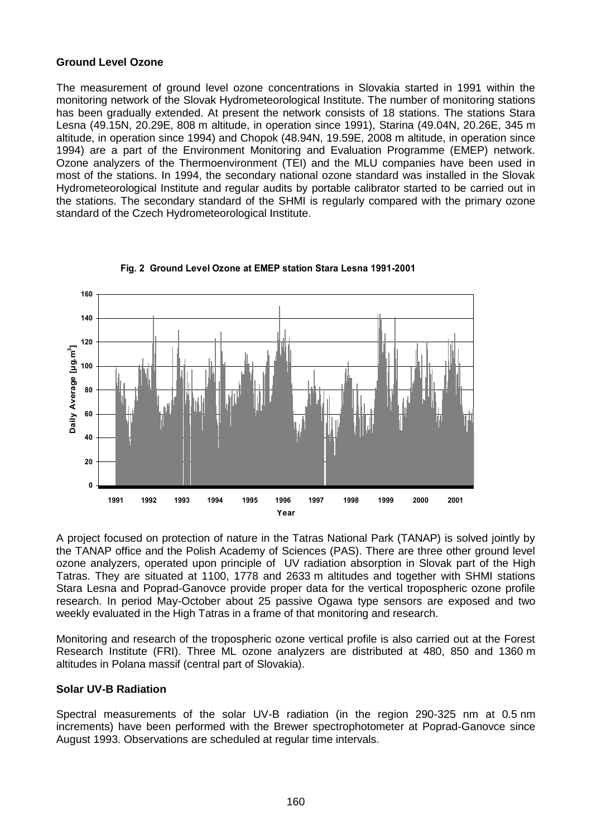## **Ground Level Ozone**

The measurement of ground level ozone concentrations in Slovakia started in 1991 within the monitoring network of the Slovak Hydrometeorological Institute. The number of monitoring stations has been gradually extended. At present the network consists of 18 stations. The stations Stara Lesna (49.15N, 20.29E, 808 m altitude, in operation since 1991), Starina (49.04N, 20.26E, 345 m altitude, in operation since 1994) and Chopok (48.94N, 19.59E, 2008 m altitude, in operation since 1994) are a part of the Environment Monitoring and Evaluation Programme (EMEP) network. Ozone analyzers of the Thermoenvironment (TEI) and the MLU companies have been used in most of the stations. In 1994, the secondary national ozone standard was installed in the Slovak Hydrometeorological Institute and regular audits by portable calibrator started to be carried out in the stations. The secondary standard of the SHMI is regularly compared with the primary ozone standard of the Czech Hydrometeorological Institute.



**Fig. 2 Ground Level Ozone at EMEP station Stara Lesna 1991-2001**

A project focused on protection of nature in the Tatras National Park (TANAP) is solved jointly by the TANAP office and the Polish Academy of Sciences (PAS). There are three other ground level ozone analyzers, operated upon principle of UV radiation absorption in Slovak part of the High Tatras. They are situated at 1100, 1778 and 2633 m altitudes and together with SHMI stations Stara Lesna and Poprad-Ganovce provide proper data for the vertical tropospheric ozone profile research. In period May-October about 25 passive Ogawa type sensors are exposed and two weekly evaluated in the High Tatras in a frame of that monitoring and research.

Monitoring and research of the tropospheric ozone vertical profile is also carried out at the Forest Research Institute (FRI). Three ML ozone analyzers are distributed at 480, 850 and 1360 m altitudes in Polana massif (central part of Slovakia).

# **Solar UV-B Radiation**

Spectral measurements of the solar UV-B radiation (in the region 290-325 nm at 0.5 nm increments) have been performed with the Brewer spectrophotometer at Poprad-Ganovce since August 1993. Observations are scheduled at regular time intervals.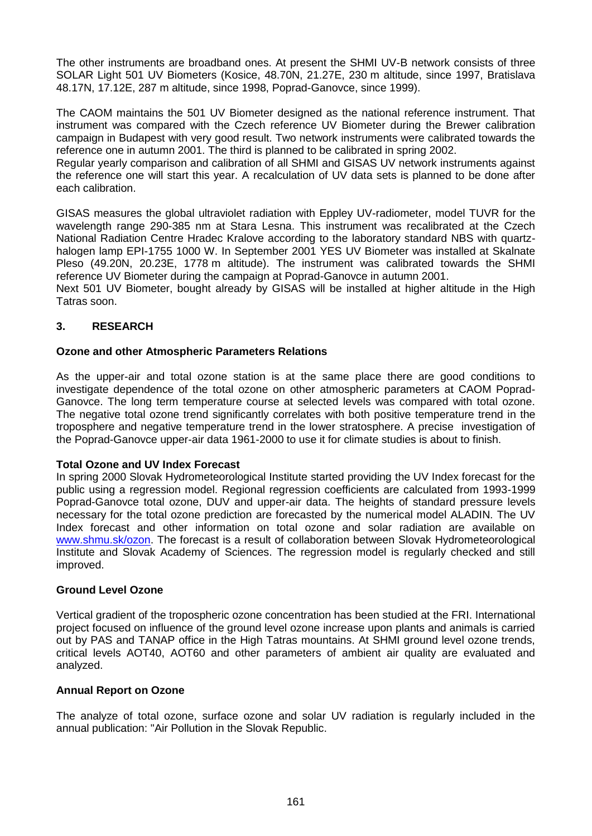The other instruments are broadband ones. At present the SHMI UV-B network consists of three SOLAR Light 501 UV Biometers (Kosice, 48.70N, 21.27E, 230 m altitude, since 1997, Bratislava 48.17N, 17.12E, 287 m altitude, since 1998, Poprad-Ganovce, since 1999).

The CAOM maintains the 501 UV Biometer designed as the national reference instrument. That instrument was compared with the Czech reference UV Biometer during the Brewer calibration campaign in Budapest with very good result. Two network instruments were calibrated towards the reference one in autumn 2001. The third is planned to be calibrated in spring 2002.

Regular yearly comparison and calibration of all SHMI and GISAS UV network instruments against the reference one will start this year. A recalculation of UV data sets is planned to be done after each calibration.

GISAS measures the global ultraviolet radiation with Eppley UV-radiometer, model TUVR for the wavelength range 290-385 nm at Stara Lesna. This instrument was recalibrated at the Czech National Radiation Centre Hradec Kralove according to the laboratory standard NBS with quartzhalogen lamp EPI-1755 1000 W. In September 2001 YES UV Biometer was installed at Skalnate Pleso (49.20N, 20.23E, 1778 m altitude). The instrument was calibrated towards the SHMI reference UV Biometer during the campaign at Poprad-Ganovce in autumn 2001.

Next 501 UV Biometer, bought already by GISAS will be installed at higher altitude in the High Tatras soon.

# **3. RESEARCH**

## **Ozone and other Atmospheric Parameters Relations**

As the upper-air and total ozone station is at the same place there are good conditions to investigate dependence of the total ozone on other atmospheric parameters at CAOM Poprad-Ganovce. The long term temperature course at selected levels was compared with total ozone. The negative total ozone trend significantly correlates with both positive temperature trend in the troposphere and negative temperature trend in the lower stratosphere. A precise investigation of the Poprad-Ganovce upper-air data 1961-2000 to use it for climate studies is about to finish.

#### **Total Ozone and UV Index Forecast**

In spring 2000 Slovak Hydrometeorological Institute started providing the UV Index forecast for the public using a regression model. Regional regression coefficients are calculated from 1993-1999 Poprad-Ganovce total ozone, DUV and upper-air data. The heights of standard pressure levels necessary for the total ozone prediction are forecasted by the numerical model ALADIN. The UV Index forecast and other information on total ozone and solar radiation are available on [www.shmu.sk/ozon.](http://www.shmu.sk/ozon) The forecast is a result of collaboration between Slovak Hydrometeorological Institute and Slovak Academy of Sciences. The regression model is regularly checked and still improved.

#### **Ground Level Ozone**

Vertical gradient of the tropospheric ozone concentration has been studied at the FRI. International project focused on influence of the ground level ozone increase upon plants and animals is carried out by PAS and TANAP office in the High Tatras mountains. At SHMI ground level ozone trends, critical levels AOT40, AOT60 and other parameters of ambient air quality are evaluated and analyzed.

#### **Annual Report on Ozone**

The analyze of total ozone, surface ozone and solar UV radiation is regularly included in the annual publication: "Air Pollution in the Slovak Republic.